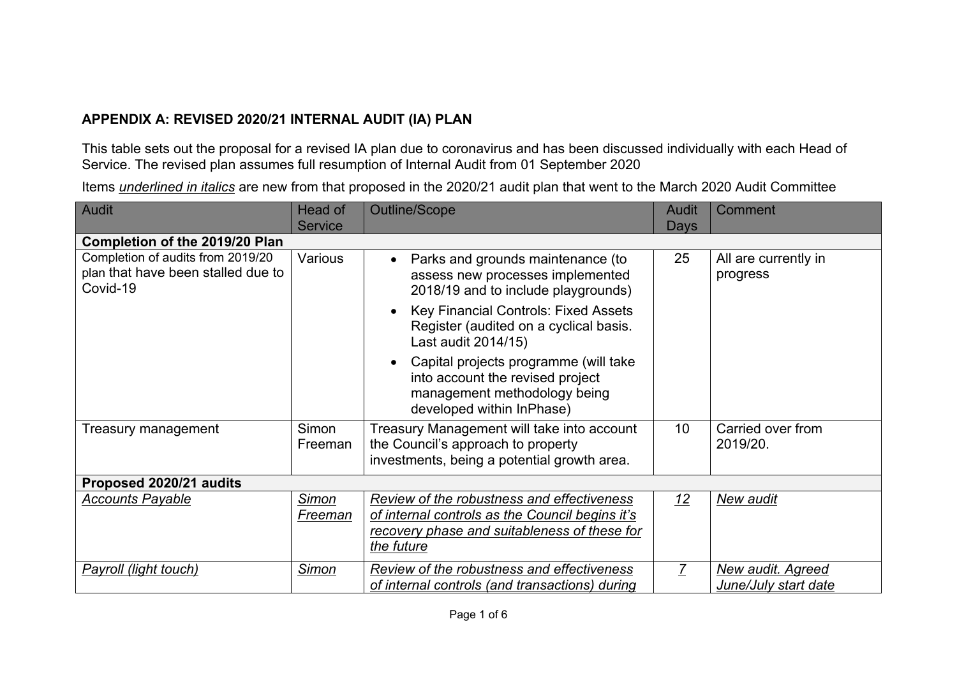## **APPENDIX A: REVISED 2020/21 INTERNAL AUDIT (IA) PLAN**

This table sets out the proposal for a revised IA plan due to coronavirus and has been discussed individually with each Head of Service. The revised plan assumes full resumption of Internal Audit from 01 September 2020

Items *underlined in italics* are new from that proposed in the 2020/21 audit plan that went to the March 2020 Audit Committee

| <b>Audit</b>                                                                        | Head of<br><b>Service</b> | <b>Outline/Scope</b>                                                                                                                                        | Audit           | Comment                                   |  |  |
|-------------------------------------------------------------------------------------|---------------------------|-------------------------------------------------------------------------------------------------------------------------------------------------------------|-----------------|-------------------------------------------|--|--|
| <b>Days</b><br>Completion of the 2019/20 Plan                                       |                           |                                                                                                                                                             |                 |                                           |  |  |
| Completion of audits from 2019/20<br>plan that have been stalled due to<br>Covid-19 | Various                   | Parks and grounds maintenance (to<br>$\bullet$<br>assess new processes implemented<br>2018/19 and to include playgrounds)                                   | 25              | All are currently in<br>progress          |  |  |
|                                                                                     |                           | <b>Key Financial Controls: Fixed Assets</b><br>Register (audited on a cyclical basis.<br>Last audit 2014/15)                                                |                 |                                           |  |  |
|                                                                                     |                           | Capital projects programme (will take<br>into account the revised project<br>management methodology being<br>developed within InPhase)                      |                 |                                           |  |  |
| Treasury management                                                                 | Simon<br>Freeman          | Treasury Management will take into account<br>the Council's approach to property<br>investments, being a potential growth area.                             | 10 <sup>°</sup> | Carried over from<br>2019/20.             |  |  |
| Proposed 2020/21 audits                                                             |                           |                                                                                                                                                             |                 |                                           |  |  |
| <b>Accounts Payable</b>                                                             | Simon<br>Freeman          | Review of the robustness and effectiveness<br>of internal controls as the Council begins it's<br>recovery phase and suitableness of these for<br>the future | 12              | New audit                                 |  |  |
| Payroll (light touch)                                                               | Simon                     | Review of the robustness and effectiveness<br>of internal controls (and transactions) during                                                                | $\overline{7}$  | New audit. Agreed<br>June/July start date |  |  |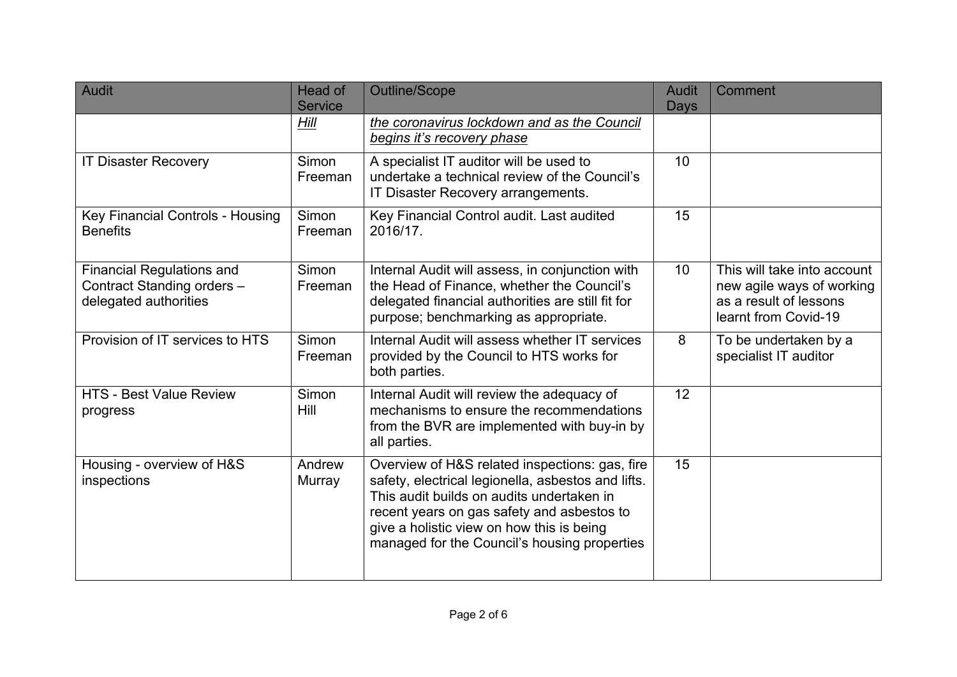| <b>Audit</b>                                                                            | Head of<br><b>Service</b> | Outline/Scope                                                                                                                                                                                                                                                                                | <b>Audit</b><br>Days | <b>Comment</b>                                                                                             |
|-----------------------------------------------------------------------------------------|---------------------------|----------------------------------------------------------------------------------------------------------------------------------------------------------------------------------------------------------------------------------------------------------------------------------------------|----------------------|------------------------------------------------------------------------------------------------------------|
|                                                                                         | Hill                      | the coronavirus lockdown and as the Council<br>begins it's recovery phase                                                                                                                                                                                                                    |                      |                                                                                                            |
| <b>IT Disaster Recovery</b>                                                             | Simon<br>Freeman          | A specialist IT auditor will be used to<br>undertake a technical review of the Council's<br>IT Disaster Recovery arrangements.                                                                                                                                                               | 10                   |                                                                                                            |
| <b>Key Financial Controls - Housing</b><br><b>Benefits</b>                              | Simon<br>Freeman          | Key Financial Control audit. Last audited<br>2016/17.                                                                                                                                                                                                                                        | 15                   |                                                                                                            |
| <b>Financial Regulations and</b><br>Contract Standing orders -<br>delegated authorities | Simon<br>Freeman          | Internal Audit will assess, in conjunction with<br>the Head of Finance, whether the Council's<br>delegated financial authorities are still fit for<br>purpose; benchmarking as appropriate.                                                                                                  | 10 <sup>°</sup>      | This will take into account<br>new agile ways of working<br>as a result of lessons<br>learnt from Covid-19 |
| Provision of IT services to HTS                                                         | Simon<br>Freeman          | Internal Audit will assess whether IT services<br>provided by the Council to HTS works for<br>both parties.                                                                                                                                                                                  | 8                    | To be undertaken by a<br>specialist IT auditor                                                             |
| <b>HTS - Best Value Review</b><br>progress                                              | Simon<br>Hill             | Internal Audit will review the adequacy of<br>mechanisms to ensure the recommendations<br>from the BVR are implemented with buy-in by<br>all parties.                                                                                                                                        | 12                   |                                                                                                            |
| Housing - overview of H&S<br>inspections                                                | Andrew<br>Murray          | Overview of H&S related inspections: gas, fire<br>safety, electrical legionella, asbestos and lifts.<br>This audit builds on audits undertaken in<br>recent years on gas safety and asbestos to<br>give a holistic view on how this is being<br>managed for the Council's housing properties | 15                   |                                                                                                            |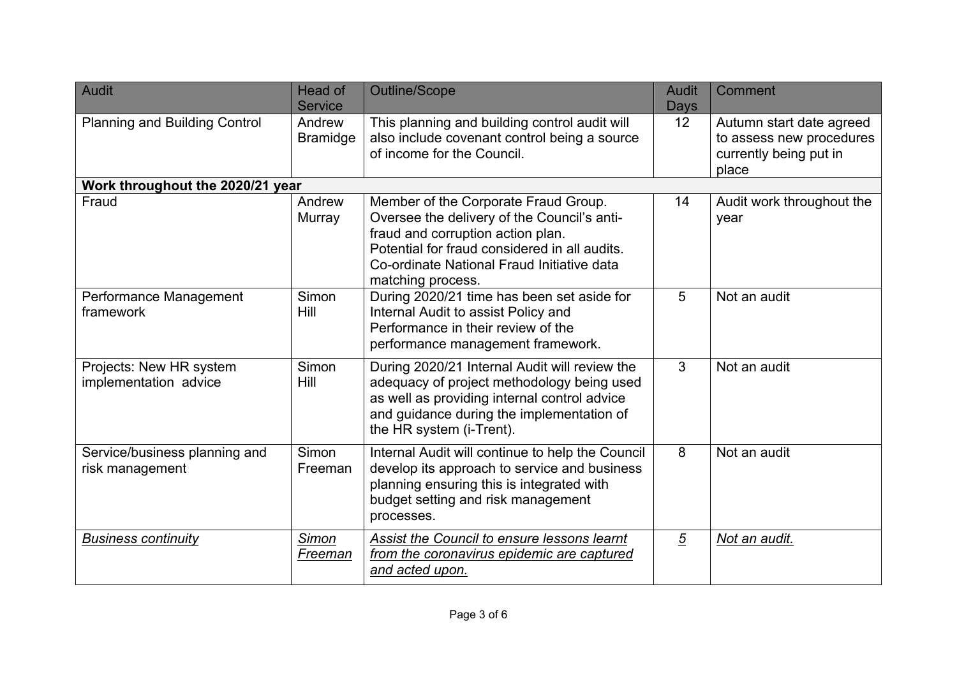| <b>Audit</b>                                     | Head of<br><b>Service</b> | Outline/Scope                                                                                                                                                                                                                                | <b>Audit</b><br>Days | Comment                                                                                 |
|--------------------------------------------------|---------------------------|----------------------------------------------------------------------------------------------------------------------------------------------------------------------------------------------------------------------------------------------|----------------------|-----------------------------------------------------------------------------------------|
| <b>Planning and Building Control</b>             | Andrew<br><b>Bramidge</b> | This planning and building control audit will<br>also include covenant control being a source<br>of income for the Council.                                                                                                                  | 12 <sup>°</sup>      | Autumn start date agreed<br>to assess new procedures<br>currently being put in<br>place |
| Work throughout the 2020/21 year                 |                           |                                                                                                                                                                                                                                              |                      |                                                                                         |
| Fraud                                            | Andrew<br>Murray          | Member of the Corporate Fraud Group.<br>Oversee the delivery of the Council's anti-<br>fraud and corruption action plan.<br>Potential for fraud considered in all audits.<br>Co-ordinate National Fraud Initiative data<br>matching process. | 14                   | Audit work throughout the<br>year                                                       |
| Performance Management<br>framework              | Simon<br>Hill             | During 2020/21 time has been set aside for<br>Internal Audit to assist Policy and<br>Performance in their review of the<br>performance management framework.                                                                                 | 5                    | Not an audit                                                                            |
| Projects: New HR system<br>implementation advice | Simon<br>Hill             | During 2020/21 Internal Audit will review the<br>adequacy of project methodology being used<br>as well as providing internal control advice<br>and guidance during the implementation of<br>the HR system (i-Trent).                         | 3                    | Not an audit                                                                            |
| Service/business planning and<br>risk management | Simon<br>Freeman          | Internal Audit will continue to help the Council<br>develop its approach to service and business<br>planning ensuring this is integrated with<br>budget setting and risk management<br>processes.                                            | 8                    | Not an audit                                                                            |
| <b>Business continuity</b>                       | Simon<br>Freeman          | Assist the Council to ensure lessons learnt<br>from the coronavirus epidemic are captured<br>and acted upon.                                                                                                                                 | $\overline{5}$       | Not an audit.                                                                           |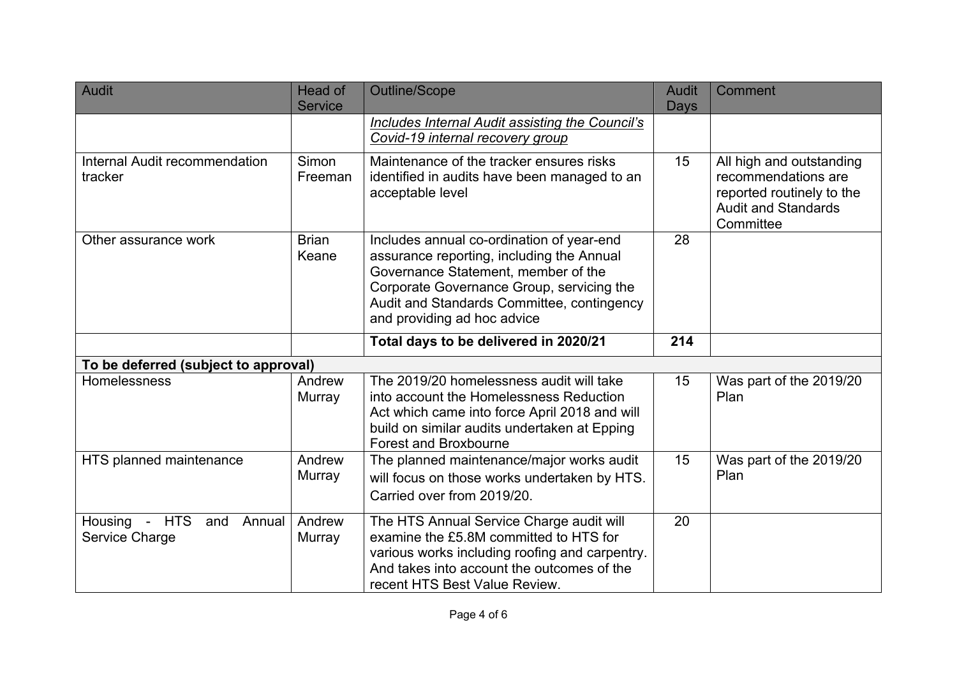| Audit                                            | Head of<br><b>Service</b> | <b>Outline/Scope</b>                                                                                                                                                                                                                                    | Audit<br>Days | Comment                                                                                                                 |
|--------------------------------------------------|---------------------------|---------------------------------------------------------------------------------------------------------------------------------------------------------------------------------------------------------------------------------------------------------|---------------|-------------------------------------------------------------------------------------------------------------------------|
|                                                  |                           | Includes Internal Audit assisting the Council's<br>Covid-19 internal recovery group                                                                                                                                                                     |               |                                                                                                                         |
| Internal Audit recommendation<br>tracker         | Simon<br>Freeman          | Maintenance of the tracker ensures risks<br>identified in audits have been managed to an<br>acceptable level                                                                                                                                            | 15            | All high and outstanding<br>recommendations are<br>reported routinely to the<br><b>Audit and Standards</b><br>Committee |
| Other assurance work                             | <b>Brian</b><br>Keane     | Includes annual co-ordination of year-end<br>assurance reporting, including the Annual<br>Governance Statement, member of the<br>Corporate Governance Group, servicing the<br>Audit and Standards Committee, contingency<br>and providing ad hoc advice | 28            |                                                                                                                         |
|                                                  |                           | Total days to be delivered in 2020/21                                                                                                                                                                                                                   | 214           |                                                                                                                         |
| To be deferred (subject to approval)             |                           |                                                                                                                                                                                                                                                         |               |                                                                                                                         |
| Homelessness                                     | Andrew<br>Murray          | The 2019/20 homelessness audit will take<br>into account the Homelessness Reduction<br>Act which came into force April 2018 and will<br>build on similar audits undertaken at Epping<br>Forest and Broxbourne                                           | 15            | Was part of the 2019/20<br>Plan                                                                                         |
| HTS planned maintenance                          | Andrew<br>Murray          | The planned maintenance/major works audit<br>will focus on those works undertaken by HTS.<br>Carried over from 2019/20.                                                                                                                                 | 15            | Was part of the 2019/20<br>Plan                                                                                         |
| Housing - HTS<br>and<br>Annual<br>Service Charge | Andrew<br>Murray          | The HTS Annual Service Charge audit will<br>examine the £5.8M committed to HTS for<br>various works including roofing and carpentry.<br>And takes into account the outcomes of the<br>recent HTS Best Value Review.                                     | 20            |                                                                                                                         |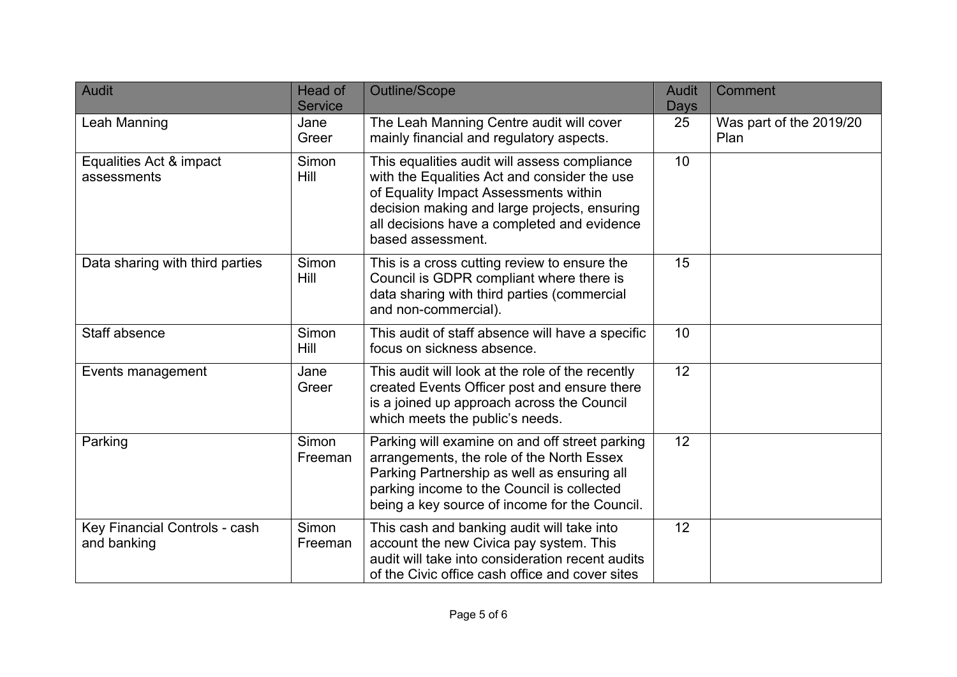| <b>Audit</b>                                 | Head of<br><b>Service</b> | <b>Outline/Scope</b>                                                                                                                                                                                                                                      | <b>Audit</b><br>Days | Comment                         |
|----------------------------------------------|---------------------------|-----------------------------------------------------------------------------------------------------------------------------------------------------------------------------------------------------------------------------------------------------------|----------------------|---------------------------------|
| Leah Manning                                 | Jane<br>Greer             | The Leah Manning Centre audit will cover<br>mainly financial and regulatory aspects.                                                                                                                                                                      | 25                   | Was part of the 2019/20<br>Plan |
| Equalities Act & impact<br>assessments       | Simon<br>Hill             | This equalities audit will assess compliance<br>with the Equalities Act and consider the use<br>of Equality Impact Assessments within<br>decision making and large projects, ensuring<br>all decisions have a completed and evidence<br>based assessment. | 10                   |                                 |
| Data sharing with third parties              | Simon<br>Hill             | This is a cross cutting review to ensure the<br>Council is GDPR compliant where there is<br>data sharing with third parties (commercial<br>and non-commercial).                                                                                           | 15                   |                                 |
| Staff absence                                | Simon<br>Hill             | This audit of staff absence will have a specific<br>focus on sickness absence.                                                                                                                                                                            | 10                   |                                 |
| Events management                            | Jane<br>Greer             | This audit will look at the role of the recently<br>created Events Officer post and ensure there<br>is a joined up approach across the Council<br>which meets the public's needs.                                                                         | 12                   |                                 |
| Parking                                      | Simon<br>Freeman          | Parking will examine on and off street parking<br>arrangements, the role of the North Essex<br>Parking Partnership as well as ensuring all<br>parking income to the Council is collected<br>being a key source of income for the Council.                 | 12                   |                                 |
| Key Financial Controls - cash<br>and banking | Simon<br>Freeman          | This cash and banking audit will take into<br>account the new Civica pay system. This<br>audit will take into consideration recent audits<br>of the Civic office cash office and cover sites                                                              | 12                   |                                 |